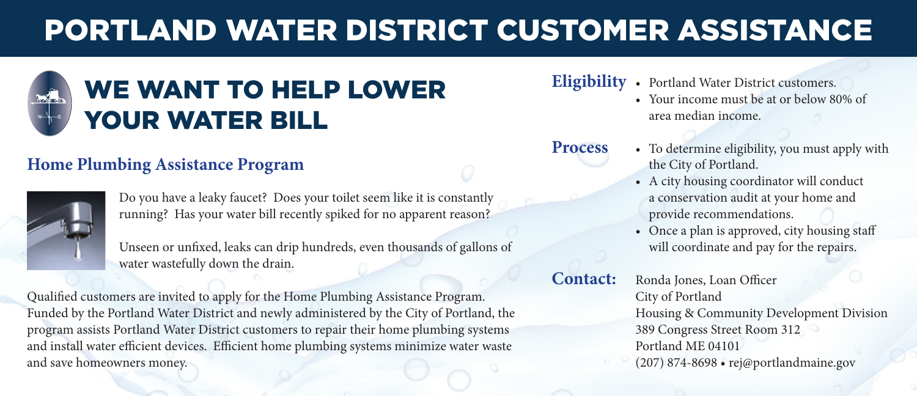# PORTLAND WATER DISTRICT CUSTOMER ASSISTANCE



## **Home Plumbing Assistance Program**



Do you have a leaky faucet? Does your toilet seem like it is constantly running? Has your water bill recently spiked for no apparent reason?

Unseen or unfixed, leaks can drip hundreds, even thousands of gallons of water wastefully down the drain.

Qualified customers are invited to apply for the Home Plumbing Assistance Program. Funded by the Portland Water District and newly administered by the City of Portland, the program assists Portland Water District customers to repair their home plumbing systems and install water efficient devices. Efficient home plumbing systems minimize water waste and save homeowners money.

### **Eligibility** • Portland Water District customers.

• Your income must be at or below 80% of area median income.

**Process**

- To determine eligibility, you must apply with the City of Portland.
- A city housing coordinator will conduct a conservation audit at your home and provide recommendations.
- Once a plan is approved, city housing staff will coordinate and pay for the repairs.

**Contact:**

Ronda Jones, Loan Officer City of Portland Housing & Community Development Division 389 Congress Street Room 312 Portland ME 04101 (207) 874-8698 • rej@portlandmaine.gov